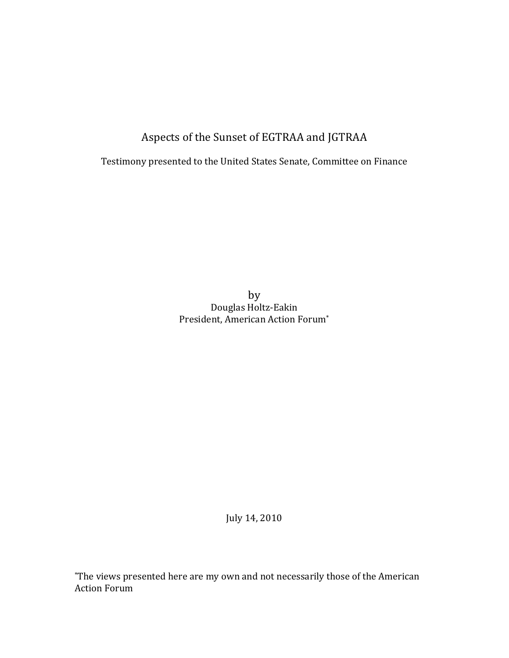Aspects of the Sunset of EGTRAA and JGTRAA

Testimony presented to the United States Senate, Committee on Finance

by Douglas Holtz-Eakin President, American Action Forum<sup>\*</sup>

July 14, 2010

\*The views presented here are my own and not necessarily those of the American Action Forum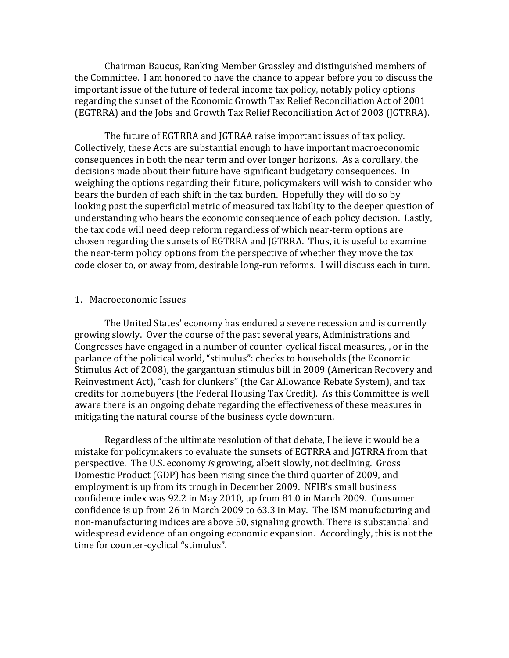Chairman Baucus, Ranking Member Grassley and distinguished members of the Committee. I am honored to have the chance to appear before you to discuss the important issue of the future of federal income tax policy, notably policy options regarding the sunset of the Economic Growth Tax Relief Reconciliation Act of 2001 (EGTRRA) and the Jobs and Growth Tax Relief Reconciliation Act of 2003 (JGTRRA).

The future of EGTRRA and JGTRAA raise important issues of tax policy. Collectively, these Acts are substantial enough to have important macroeconomic consequences in both the near term and over longer horizons. As a corollary, the decisions made about their future have significant budgetary consequences. In weighing the options regarding their future, policymakers will wish to consider who bears the burden of each shift in the tax burden. Hopefully they will do so by looking past the superficial metric of measured tax liability to the deeper question of understanding who bears the economic consequence of each policy decision. Lastly, the tax code will need deep reform regardless of which near-term options are chosen regarding the sunsets of EGTRRA and JGTRRA. Thus, it is useful to examine the near-term policy options from the perspective of whether they move the tax code closer to, or away from, desirable long-run reforms. I will discuss each in turn.

#### 1. Macroeconomic Issues

The United States' economy has endured a severe recession and is currently growing slowly. Over the course of the past several years, Administrations and Congresses have engaged in a number of counter-cyclical fiscal measures,, or in the parlance of the political world, "stimulus": checks to households (the Economic Stimulus Act of 2008), the gargantuan stimulus bill in 2009 (American Recovery and Reinvestment Act), "cash for clunkers" (the Car Allowance Rebate System), and tax credits for homebuyers (the Federal Housing Tax Credit). As this Committee is well aware there is an ongoing debate regarding the effectiveness of these measures in mitigating the natural course of the business cycle downturn.

Regardless of the ultimate resolution of that debate, I believe it would be a mistake for policymakers to evaluate the sunsets of EGTRRA and JGTRRA from that perspective. The U.S. economy *is growing*, albeit slowly, not declining. Gross Domestic Product (GDP) has been rising since the third quarter of 2009, and employment is up from its trough in December 2009. NFIB's small business confidence index was 92.2 in May 2010, up from 81.0 in March 2009. Consumer confidence is up from 26 in March 2009 to 63.3 in May. The ISM manufacturing and non-manufacturing indices are above 50, signaling growth. There is substantial and widespread evidence of an ongoing economic expansion. Accordingly, this is not the time for counter-cyclical "stimulus".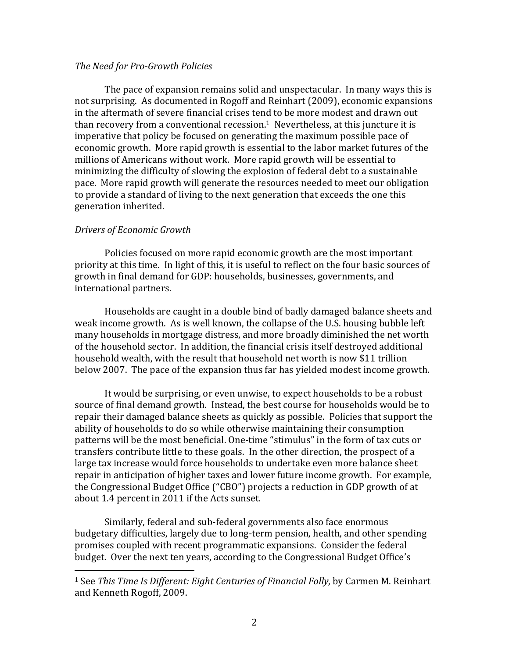## *The Need for Pro-Growth Policies*

The pace of expansion remains solid and unspectacular. In many ways this is not surprising. As documented in Rogoff and Reinhart (2009), economic expansions in the aftermath of severe financial crises tend to be more modest and drawn out than recovery from a conventional recession.<sup>1</sup> Nevertheless, at this juncture it is imperative that policy be focused on generating the maximum possible pace of economic growth. More rapid growth is essential to the labor market futures of the millions of Americans without work. More rapid growth will be essential to minimizing the difficulty of slowing the explosion of federal debt to a sustainable pace. More rapid growth will generate the resources needed to meet our obligation to provide a standard of living to the next generation that exceeds the one this generation inherited.

## *Drivers of Economic Growth*

!!!!!!!!!!!!!!!!!!!!!!!!!!!!!!!!!!!!!!!!!!!!!!!!!!!!!!!

Policies focused on more rapid economic growth are the most important priority at this time. In light of this, it is useful to reflect on the four basic sources of growth in final demand for GDP: households, businesses, governments, and international partners.

Households are caught in a double bind of badly damaged balance sheets and weak income growth. As is well known, the collapse of the U.S. housing bubble left many households in mortgage distress, and more broadly diminished the net worth of the household sector. In addition, the financial crisis itself destroyed additional household wealth, with the result that household net worth is now \$11 trillion below 2007. The pace of the expansion thus far has yielded modest income growth.

It would be surprising, or even unwise, to expect households to be a robust source of final demand growth. Instead, the best course for households would be to repair their damaged balance sheets as quickly as possible. Policies that support the ability of households to do so while otherwise maintaining their consumption patterns will be the most beneficial. One-time "stimulus" in the form of tax cuts or transfers contribute little to these goals. In the other direction, the prospect of a large tax increase would force households to undertake even more balance sheet repair in anticipation of higher taxes and lower future income growth. For example, the Congressional Budget Office ("CBO") projects a reduction in GDP growth of at about 1.4 percent in 2011 if the Acts sunset.

Similarly, federal and sub-federal governments also face enormous budgetary difficulties, largely due to long-term pension, health, and other spending promises coupled with recent programmatic expansions. Consider the federal budget. Over the next ten years, according to the Congressional Budget Office's

<sup>&</sup>lt;sup>1</sup> See *This Time Is Different: Eight Centuries of Financial Folly*, by Carmen M. Reinhart and Kenneth Rogoff, 2009.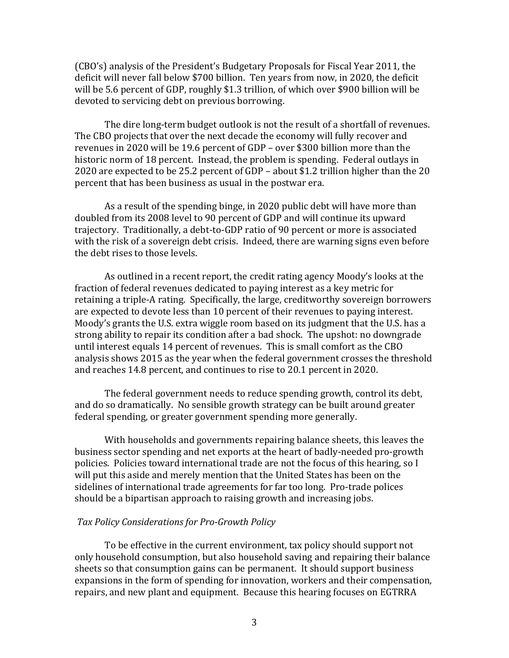(CBO's) analysis of the President's Budgetary Proposals for Fiscal Year 2011, the deficit will never fall below \$700 billion. Ten years from now, in 2020, the deficit will be 5.6 percent of GDP, roughly \$1.3 trillion, of which over \$900 billion will be devoted to servicing debt on previous borrowing.

The dire long-term budget outlook is not the result of a shortfall of revenues. The CBO projects that over the next decade the economy will fully recover and revenues in 2020 will be 19.6 percent of GDP – over \$300 billion more than the historic norm of 18 percent. Instead, the problem is spending. Federal outlays in 2020 are expected to be 25.2 percent of GDP – about \$1.2 trillion higher than the 20 percent that has been business as usual in the postwar era.

As a result of the spending binge, in 2020 public debt will have more than doubled from its 2008 level to 90 percent of GDP and will continue its upward trajectory. Traditionally, a debt-to-GDP ratio of 90 percent or more is associated with the risk of a sovereign debt crisis. Indeed, there are warning signs even before the debt rises to those levels.

As outlined in a recent report, the credit rating agency Moody's looks at the fraction of federal revenues dedicated to paying interest as a key metric for retaining a triple-A rating. Specifically, the large, creditworthy sovereign borrowers are expected to devote less than 10 percent of their revenues to paying interest. Moody's grants the U.S. extra wiggle room based on its judgment that the U.S. has a strong ability to repair its condition after a bad shock. The upshot: no downgrade until interest equals 14 percent of revenues. This is small comfort as the CBO analysis shows 2015 as the year when the federal government crosses the threshold and reaches 14.8 percent, and continues to rise to 20.1 percent in 2020.

The federal government needs to reduce spending growth, control its debt, and do so dramatically. No sensible growth strategy can be built around greater federal spending, or greater government spending more generally.

With households and governments repairing balance sheets, this leaves the business sector spending and net exports at the heart of badly-needed pro-growth policies. Policies toward international trade are not the focus of this hearing, so I will put this aside and merely mention that the United States has been on the sidelines of international trade agreements for far too long. Pro-trade polices should be a bipartisan approach to raising growth and increasing jobs.

# *Tax#Policy#Considerations#for#Pro-Growth#Policy*

To be effective in the current environment, tax policy should support not only household consumption, but also household saving and repairing their balance sheets so that consumption gains can be permanent. It should support business expansions in the form of spending for innovation, workers and their compensation, repairs, and new plant and equipment. Because this hearing focuses on EGTRRA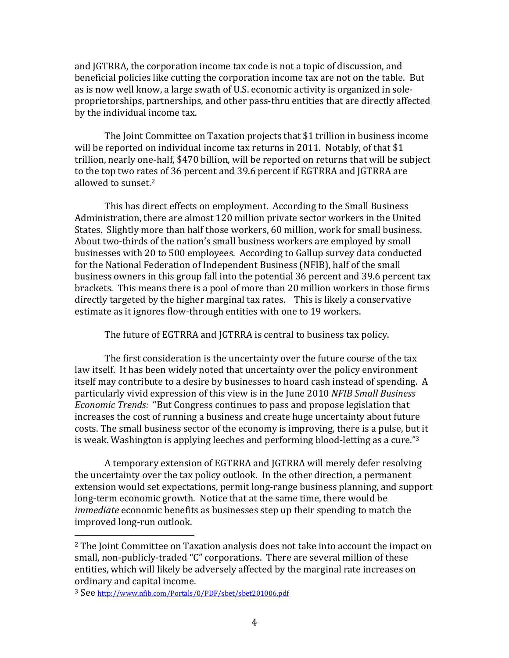and JGTRRA, the corporation income tax code is not a topic of discussion, and beneficial policies like cutting the corporation income tax are not on the table. But as is now well know, a large swath of U.S. economic activity is organized in soleproprietorships, partnerships, and other pass-thru entities that are directly affected by the individual income tax.

The Joint Committee on Taxation projects that \$1 trillion in business income will be reported on individual income tax returns in 2011. Notably, of that \$1 trillion, nearly one-half, \$470 billion, will be reported on returns that will be subject to the top two rates of 36 percent and 39.6 percent if EGTRRA and JGTRRA are allowed to sunset. $2$ 

This has direct effects on employment. According to the Small Business Administration, there are almost 120 million private sector workers in the United States. Slightly more than half those workers, 60 million, work for small business. About two-thirds of the nation's small business workers are employed by small businesses with 20 to 500 employees. According to Gallup survey data conducted for the National Federation of Independent Business (NFIB), half of the small business owners in this group fall into the potential 36 percent and 39.6 percent tax brackets. This means there is a pool of more than 20 million workers in those firms directly targeted by the higher marginal tax rates. This is likely a conservative estimate as it ignores flow-through entities with one to 19 workers.

The future of EGTRRA and JGTRRA is central to business tax policy.

The first consideration is the uncertainty over the future course of the tax law itself. It has been widely noted that uncertainty over the policy environment itself may contribute to a desire by businesses to hoard cash instead of spending. A particularly vivid expression of this view is in the June 2010 *NFIB Small Business Economic Trends: "But Congress continues to pass and propose legislation that* increases the cost of running a business and create huge uncertainty about future costs. The small business sector of the economy is improving, there is a pulse, but it is weak. Washington is applying leeches and performing blood-letting as a cure."<sup>3</sup>

A temporary extension of EGTRRA and JGTRRA will merely defer resolving the uncertainty over the tax policy outlook. In the other direction, a permanent extension would set expectations, permit long-range business planning, and support long-term economic growth. Notice that at the same time, there would be *immediate* economic benefits as businesses step up their spending to match the improved long-run outlook.

 $2$  The Joint Committee on Taxation analysis does not take into account the impact on small, non-publicly-traded "C" corporations. There are several million of these entities, which will likely be adversely affected by the marginal rate increases on ordinary and capital income.

<sup>&</sup>lt;sup>3</sup> See http://www.nfib.com/Portals/0/PDF/sbet/sbet201006.pdf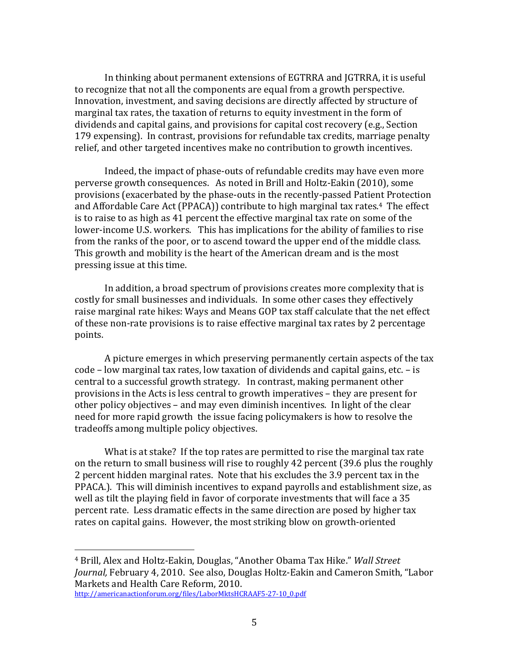In thinking about permanent extensions of EGTRRA and JGTRRA, it is useful to recognize that not all the components are equal from a growth perspective. Innovation, investment, and saving decisions are directly affected by structure of marginal tax rates, the taxation of returns to equity investment in the form of dividends and capital gains, and provisions for capital cost recovery (e.g., Section 179 expensing). In contrast, provisions for refundable tax credits, marriage penalty relief, and other targeted incentives make no contribution to growth incentives.

Indeed, the impact of phase-outs of refundable credits may have even more perverse growth consequences. As noted in Brill and Holtz-Eakin (2010), some provisions (exacerbated by the phase-outs in the recently-passed Patient Protection and Affordable Care Act (PPACA)) contribute to high marginal tax rates.<sup>4</sup> The effect is to raise to as high as 41 percent the effective marginal tax rate on some of the lower-income U.S. workers. Ithis has implications for the ability of families to rise from the ranks of the poor, or to ascend toward the upper end of the middle class. This growth and mobility is the heart of the American dream and is the most pressing issue at this time.

In addition, a broad spectrum of provisions creates more complexity that is costly for small businesses and individuals. In some other cases they effectively raise marginal rate hikes: Ways and Means GOP tax staff calculate that the net effect of these non-rate provisions is to raise effective marginal tax rates by 2 percentage points.

A picture emerges in which preserving permanently certain aspects of the tax code – low marginal tax rates, low taxation of dividends and capital gains, etc. – is central to a successful growth strategy. In contrast, making permanent other provisions in the Acts is less central to growth imperatives – they are present for other policy objectives – and may even diminish incentives. In light of the clear need for more rapid growth the issue facing policymakers is how to resolve the tradeoffs among multiple policy objectives.

What is at stake? If the top rates are permitted to rise the marginal tax rate on the return to small business will rise to roughly 42 percent (39.6 plus the roughly 2 percent hidden marginal rates. Note that his excludes the 3.9 percent tax in the PPACA.). This will diminish incentives to expand payrolls and establishment size, as well as tilt the playing field in favor of corporate investments that will face a 35 percent rate. Less dramatic effects in the same direction are posed by higher tax rates on capital gains. However, the most striking blow on growth-oriented

<sup>&</sup>lt;sup>4</sup> Brill, Alex and Holtz-Eakin, Douglas, "Another Obama Tax Hike." Wall Street *Journal, February 4, 2010. See also, Douglas Holtz-Eakin and Cameron Smith, "Labor*" Markets and Health Care Reform, 2010.

http://americanactionforum.org/files/LaborMktsHCRAAF5-27-10\_0.pdf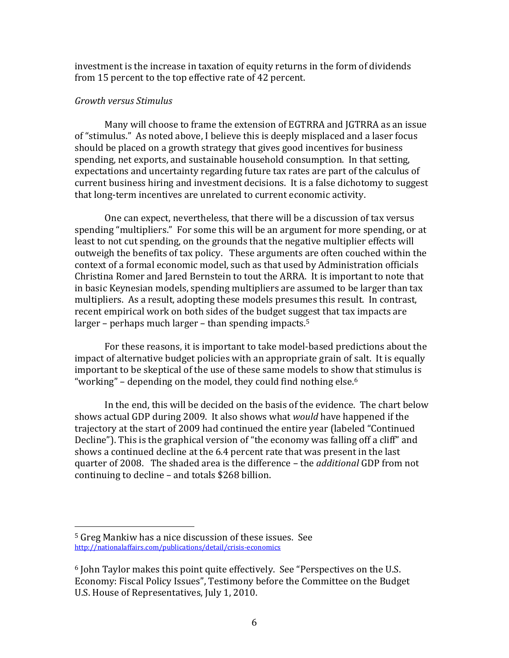investment is the increase in taxation of equity returns in the form of dividends from 15 percent to the top effective rate of 42 percent.

# *Growth#versus#Stimulus*

Many will choose to frame the extension of EGTRRA and JGTRRA as an issue of "stimulus." As noted above, I believe this is deeply misplaced and a laser focus should be placed on a growth strategy that gives good incentives for business spending, net exports, and sustainable household consumption. In that setting, expectations and uncertainty regarding future tax rates are part of the calculus of current business hiring and investment decisions. It is a false dichotomy to suggest that long-term incentives are unrelated to current economic activity.

One can expect, nevertheless, that there will be a discussion of tax versus spending "multipliers." For some this will be an argument for more spending, or at least to not cut spending, on the grounds that the negative multiplier effects will outweigh the benefits of tax policy. These arguments are often couched within the context of a formal economic model, such as that used by Administration officials Christina Romer and Jared Bernstein to tout the ARRA. It is important to note that in basic Keynesian models, spending multipliers are assumed to be larger than tax multipliers. As a result, adopting these models presumes this result. In contrast, recent empirical work on both sides of the budget suggest that tax impacts are larger – perhaps much larger – than spending impacts.<sup>5</sup>

For these reasons, it is important to take model-based predictions about the impact of alternative budget policies with an appropriate grain of salt. It is equally important to be skeptical of the use of these same models to show that stimulus is "working" – depending on the model, they could find nothing else.<sup>6</sup>

In the end, this will be decided on the basis of the evidence. The chart below shows actual GDP during 2009. It also shows what *would* have happened if the trajectory at the start of 2009 had continued the entire year (labeled "Continued" Decline"). This is the graphical version of "the economy was falling off a cliff" and shows a continued decline at the 6.4 percent rate that was present in the last quarter of 2008. The shaded area is the difference – the *additional* GDP from not continuing to decline – and totals  $$268$  billion.

<sup>&</sup>lt;sup>5</sup> Greg Mankiw has a nice discussion of these issues. See http://nationalaffairs.com/publications/detail/crisis-economics

 $6$  John Taylor makes this point quite effectively. See "Perspectives on the U.S. Economy: Fiscal Policy Issues", Testimony before the Committee on the Budget U.S. House of Representatives, July 1, 2010.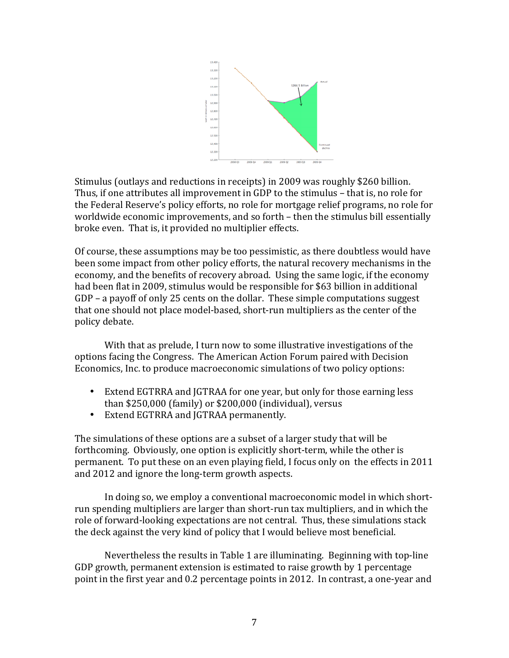

Stimulus (outlays and reductions in receipts) in 2009 was roughly \$260 billion. Thus, if one attributes all improvement in GDP to the stimulus – that is, no role for the Federal Reserve's policy efforts, no role for mortgage relief programs, no role for worldwide economic improvements, and so forth – then the stimulus bill essentially broke even. That is, it provided no multiplier effects.

Of course, these assumptions may be too pessimistic, as there doubtless would have been some impact from other policy efforts, the natural recovery mechanisms in the economy, and the benefits of recovery abroad. Using the same logic, if the economy had been flat in 2009, stimulus would be responsible for \$63 billion in additional  $GDP$  – a payoff of only 25 cents on the dollar. These simple computations suggest that one should not place model-based, short-run multipliers as the center of the policy debate.

With that as prelude, I turn now to some illustrative investigations of the options facing the Congress. The American Action Forum paired with Decision Economics, Inc. to produce macroeconomic simulations of two policy options:

- Extend EGTRRA and JGTRAA for one year, but only for those earning less than  $$250,000$  (family) or  $$200,000$  (individual), versus
- Extend EGTRRA and JGTRAA permanently.

The simulations of these options are a subset of a larger study that will be forthcoming. Obviously, one option is explicitly short-term, while the other is permanent. To put these on an even playing field, I focus only on the effects in 2011 and 2012 and ignore the long-term growth aspects.

In doing so, we employ a conventional macroeconomic model in which shortrun spending multipliers are larger than short-run tax multipliers, and in which the role of forward-looking expectations are not central. Thus, these simulations stack the deck against the very kind of policy that I would believe most beneficial.

Nevertheless the results in Table 1 are illuminating. Beginning with top-line GDP growth, permanent extension is estimated to raise growth by 1 percentage point in the first year and 0.2 percentage points in 2012. In contrast, a one-year and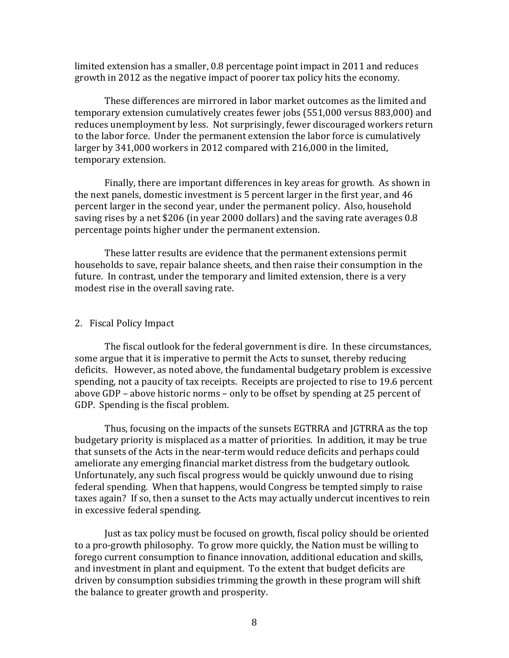limited extension has a smaller, 0.8 percentage point impact in 2011 and reduces growth in 2012 as the negative impact of poorer tax policy hits the economy.

These differences are mirrored in labor market outcomes as the limited and temporary extension cumulatively creates fewer jobs (551,000 versus 883,000) and reduces unemployment by less. Not surprisingly, fewer discouraged workers return to the labor force. Under the permanent extension the labor force is cumulatively larger by 341,000 workers in 2012 compared with 216,000 in the limited, temporary extension.

Finally, there are important differences in key areas for growth. As shown in the next panels, domestic investment is 5 percent larger in the first year, and  $46$ percent larger in the second year, under the permanent policy. Also, household saving rises by a net \$206 (in year 2000 dollars) and the saving rate averages 0.8 percentage points higher under the permanent extension.

These latter results are evidence that the permanent extensions permit households to save, repair balance sheets, and then raise their consumption in the future. In contrast, under the temporary and limited extension, there is a very modest rise in the overall saving rate.

#### 2. Fiscal Policy Impact

The fiscal outlook for the federal government is dire. In these circumstances, some argue that it is imperative to permit the Acts to sunset, thereby reducing deficits. However, as noted above, the fundamental budgetary problem is excessive spending, not a paucity of tax receipts. Receipts are projected to rise to 19.6 percent above GDP – above historic norms – only to be offset by spending at 25 percent of GDP. Spending is the fiscal problem.

Thus, focusing on the impacts of the sunsets EGTRRA and JGTRRA as the top budgetary priority is misplaced as a matter of priorities. In addition, it may be true that sunsets of the Acts in the near-term would reduce deficits and perhaps could ameliorate any emerging financial market distress from the budgetary outlook. Unfortunately, any such fiscal progress would be quickly unwound due to rising federal spending. When that happens, would Congress be tempted simply to raise taxes again? If so, then a sunset to the Acts may actually undercut incentives to rein in excessive federal spending.

Just as tax policy must be focused on growth, fiscal policy should be oriented to a pro-growth philosophy. To grow more quickly, the Nation must be willing to forego current consumption to finance innovation, additional education and skills, and investment in plant and equipment. To the extent that budget deficits are driven by consumption subsidies trimming the growth in these program will shift the balance to greater growth and prosperity.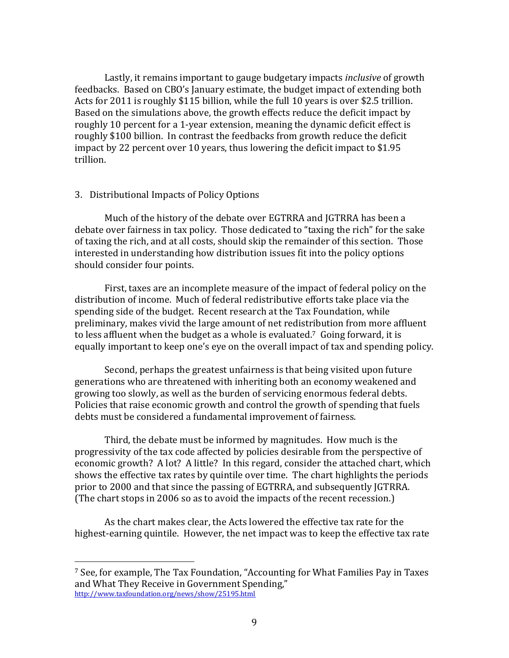Lastly, it remains important to gauge budgetary impacts *inclusive* of growth feedbacks. Based on CBO's January estimate, the budget impact of extending both Acts for 2011 is roughly \$115 billion, while the full 10 years is over \$2.5 trillion. Based on the simulations above, the growth effects reduce the deficit impact by roughly 10 percent for a 1-year extension, meaning the dynamic deficit effect is roughly \$100 billion. In contrast the feedbacks from growth reduce the deficit impact by 22 percent over 10 years, thus lowering the deficit impact to  $$1.95$ trillion.

## 3. Distributional Impacts of Policy Options

!!!!!!!!!!!!!!!!!!!!!!!!!!!!!!!!!!!!!!!!!!!!!!!!!!!!!!!

Much of the history of the debate over EGTRRA and JGTRRA has been a debate over fairness in tax policy. Those dedicated to "taxing the rich" for the sake of taxing the rich, and at all costs, should skip the remainder of this section. Those interested in understanding how distribution issues fit into the policy options should consider four points.

First, taxes are an incomplete measure of the impact of federal policy on the distribution of income. Much of federal redistributive efforts take place via the spending side of the budget. Recent research at the Tax Foundation, while preliminary, makes vivid the large amount of net redistribution from more affluent to less affluent when the budget as a whole is evaluated.<sup>7</sup> Going forward, it is equally important to keep one's eye on the overall impact of tax and spending policy.

Second, perhaps the greatest unfairness is that being visited upon future generations who are threatened with inheriting both an economy weakened and growing too slowly, as well as the burden of servicing enormous federal debts. Policies that raise economic growth and control the growth of spending that fuels debts must be considered a fundamental improvement of fairness.

Third, the debate must be informed by magnitudes. How much is the progressivity of the tax code affected by policies desirable from the perspective of economic growth? A lot? A little? In this regard, consider the attached chart, which shows the effective tax rates by quintile over time. The chart highlights the periods prior to 2000 and that since the passing of EGTRRA, and subsequently JGTRRA. (The chart stops in 2006 so as to avoid the impacts of the recent recession.)

As the chart makes clear, the Acts lowered the effective tax rate for the highest-earning quintile. However, the net impact was to keep the effective tax rate

<sup>&</sup>lt;sup>7</sup> See, for example, The Tax Foundation, "Accounting for What Families Pay in Taxes and What They Receive in Government Spending," http://www.taxfoundation.org/news/show/25195.html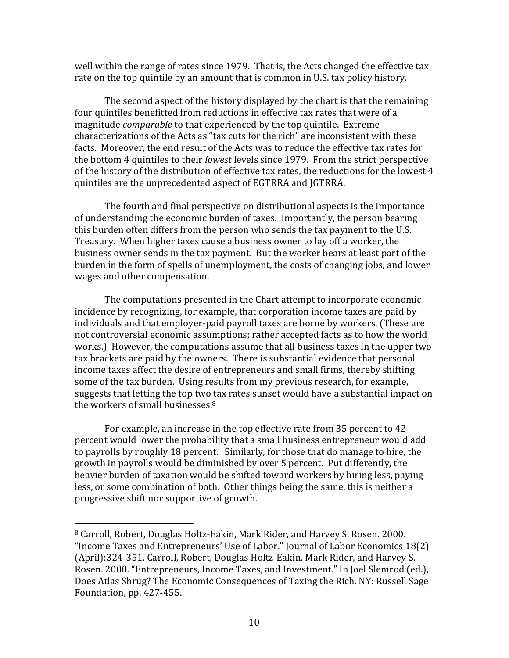well within the range of rates since 1979. That is, the Acts changed the effective tax rate on the top quintile by an amount that is common in U.S. tax policy history.

The second aspect of the history displayed by the chart is that the remaining four quintiles benefitted from reductions in effective tax rates that were of a magnitude *comparable* to that experienced by the top quintile. Extreme characterizations of the Acts as "tax cuts for the rich" are inconsistent with these facts. Moreover, the end result of the Acts was to reduce the effective tax rates for the bottom 4 quintiles to their *lowest* levels since 1979. From the strict perspective of the history of the distribution of effective tax rates, the reductions for the lowest 4 quintiles are the unprecedented aspect of EGTRRA and JGTRRA.

The fourth and final perspective on distributional aspects is the importance of understanding the economic burden of taxes. Importantly, the person bearing this burden often differs from the person who sends the tax payment to the U.S. Treasury. When higher taxes cause a business owner to lay off a worker, the business owner sends in the tax payment. But the worker bears at least part of the burden in the form of spells of unemployment, the costs of changing jobs, and lower wages and other compensation.

The computations presented in the Chart attempt to incorporate economic incidence by recognizing, for example, that corporation income taxes are paid by individuals and that employer-paid payroll taxes are borne by workers. (These are not controversial economic assumptions; rather accepted facts as to how the world works.) However, the computations assume that all business taxes in the upper two tax brackets are paid by the owners. There is substantial evidence that personal income taxes affect the desire of entrepreneurs and small firms, thereby shifting some of the tax burden. Using results from my previous research, for example, suggests that letting the top two tax rates sunset would have a substantial impact on the workers of small businesses. $8$ 

For example, an increase in the top effective rate from 35 percent to 42 percent would lower the probability that a small business entrepreneur would add to payrolls by roughly 18 percent. Similarly, for those that do manage to hire, the growth in payrolls would be diminished by over 5 percent. Put differently, the heavier burden of taxation would be shifted toward workers by hiring less, paying less, or some combination of both. Other things being the same, this is neither a progressive shift nor supportive of growth.

<sup>8</sup> Carroll, Robert, Douglas Holtz-Eakin, Mark Rider, and Harvey S. Rosen. 2000. "Income Taxes and Entrepreneurs' Use of Labor." Journal of Labor Economics  $18(2)$ (April):324-351. Carroll, Robert, Douglas Holtz-Eakin, Mark Rider, and Harvey S. Rosen. 2000. "Entrepreneurs, Income Taxes, and Investment." In Joel Slemrod (ed.), Does Atlas Shrug? The Economic Consequences of Taxing the Rich. NY: Russell Sage Foundation,  $pp. 427-455$ .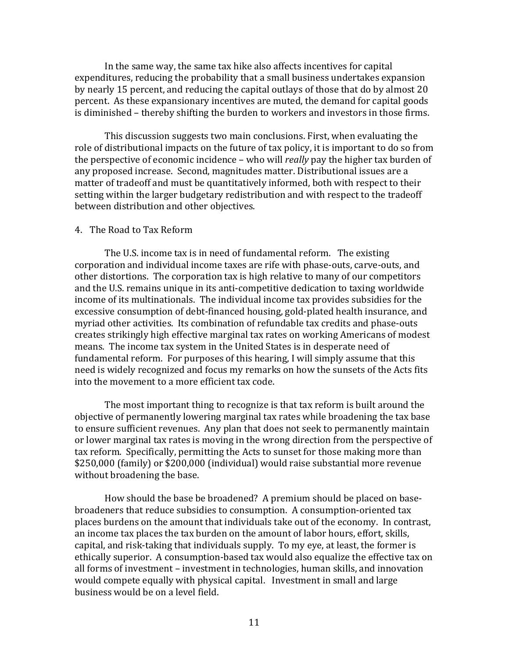In the same way, the same tax hike also affects incentives for capital expenditures, reducing the probability that a small business undertakes expansion by nearly 15 percent, and reducing the capital outlays of those that do by almost 20 percent. As these expansionary incentives are muted, the demand for capital goods is diminished – thereby shifting the burden to workers and investors in those firms.

This discussion suggests two main conclusions. First, when evaluating the role of distributional impacts on the future of tax policy, it is important to do so from the perspective of economic incidence – who will *really* pay the higher tax burden of any proposed increase. Second, magnitudes matter. Distributional issues are a matter of tradeoff and must be quantitatively informed, both with respect to their setting within the larger budgetary redistribution and with respect to the tradeoff between distribution and other objectives.

## 4. The Road to Tax Reform

The U.S. income tax is in need of fundamental reform. The existing corporation and individual income taxes are rife with phase-outs, carve-outs, and other distortions. The corporation tax is high relative to many of our competitors and the U.S. remains unique in its anti-competitive dedication to taxing worldwide income of its multinationals. The individual income tax provides subsidies for the excessive consumption of debt-financed housing, gold-plated health insurance, and myriad other activities. Its combination of refundable tax credits and phase-outs creates strikingly high effective marginal tax rates on working Americans of modest means. The income tax system in the United States is in desperate need of fundamental reform. For purposes of this hearing, I will simply assume that this need is widely recognized and focus my remarks on how the sunsets of the Acts fits into the movement to a more efficient tax code.

The most important thing to recognize is that tax reform is built around the objective of permanently lowering marginal tax rates while broadening the tax base to ensure sufficient revenues. Any plan that does not seek to permanently maintain or lower marginal tax rates is moving in the wrong direction from the perspective of tax reform. Specifically, permitting the Acts to sunset for those making more than \$250,000 (family) or \$200,000 (individual) would raise substantial more revenue without broadening the base.

How should the base be broadened? A premium should be placed on basebroadeners that reduce subsidies to consumption. A consumption-oriented tax places burdens on the amount that individuals take out of the economy. In contrast, an income tax places the tax burden on the amount of labor hours, effort, skills, capital, and risk-taking that individuals supply. To my eye, at least, the former is ethically superior. A consumption-based tax would also equalize the effective tax on all forms of investment – investment in technologies, human skills, and innovation would compete equally with physical capital. Investment in small and large business would be on a level field.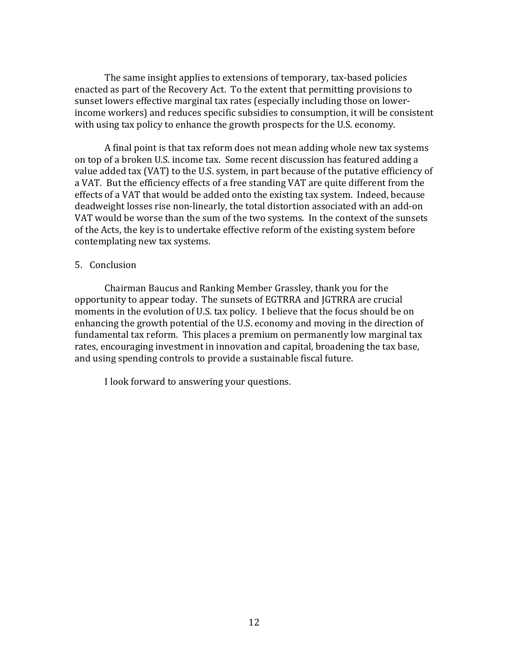The same insight applies to extensions of temporary, tax-based policies enacted as part of the Recovery Act. To the extent that permitting provisions to sunset lowers effective marginal tax rates (especially including those on lowerincome workers) and reduces specific subsidies to consumption, it will be consistent with using tax policy to enhance the growth prospects for the U.S. economy.

A final point is that tax reform does not mean adding whole new tax systems on top of a broken U.S. income tax. Some recent discussion has featured adding a value added tax (VAT) to the U.S. system, in part because of the putative efficiency of a VAT. But the efficiency effects of a free standing VAT are quite different from the effects of a VAT that would be added onto the existing tax system. Indeed, because deadweight losses rise non-linearly, the total distortion associated with an add-on VAT would be worse than the sum of the two systems. In the context of the sunsets of the Acts, the key is to undertake effective reform of the existing system before contemplating new tax systems.

# 5. Conclusion

Chairman Baucus and Ranking Member Grassley, thank you for the opportunity to appear today. The sunsets of EGTRRA and JGTRRA are crucial moments in the evolution of U.S. tax policy. I believe that the focus should be on enhancing the growth potential of the U.S. economy and moving in the direction of fundamental tax reform. This places a premium on permanently low marginal tax rates, encouraging investment in innovation and capital, broadening the tax base, and using spending controls to provide a sustainable fiscal future.

I look forward to answering your questions.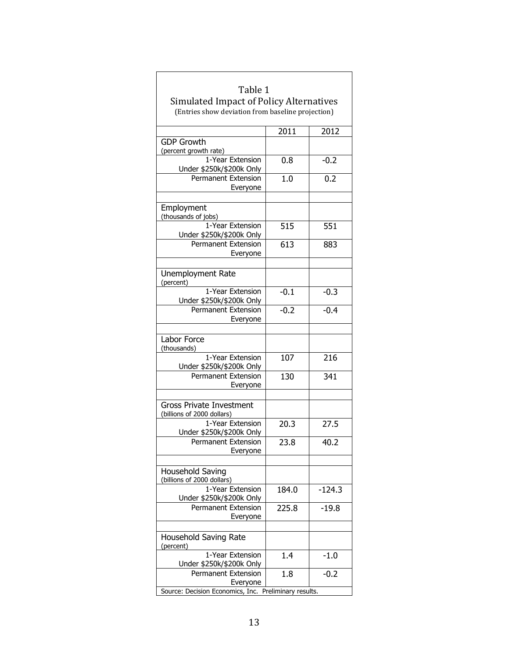| Table 1                                                                                      |        |          |
|----------------------------------------------------------------------------------------------|--------|----------|
| Simulated Impact of Policy Alternatives<br>(Entries show deviation from baseline projection) |        |          |
|                                                                                              |        |          |
|                                                                                              | 2011   | 2012     |
| <b>GDP Growth</b>                                                                            |        |          |
| (percent growth rate)                                                                        |        |          |
| 1-Year Extension<br>Under \$250k/\$200k Only                                                 | 0.8    | $-0.2$   |
| <b>Permanent Extension</b><br>Everyone                                                       | 1.0    | 0.2      |
|                                                                                              |        |          |
| Employment<br>(thousands of jobs)                                                            |        |          |
| 1-Year Extension                                                                             | 515    | 551      |
| Under \$250k/\$200k Only                                                                     |        |          |
| <b>Permanent Extension</b>                                                                   | 613    | 883      |
| Everyone                                                                                     |        |          |
| Unemployment Rate<br>(percent)                                                               |        |          |
| 1-Year Extension                                                                             | $-0.1$ | $-0.3$   |
| Under \$250k/\$200k Only<br><b>Permanent Extension</b>                                       | $-0.2$ | $-0.4$   |
| Everyone                                                                                     |        |          |
|                                                                                              |        |          |
| Labor Force<br>(thousands)                                                                   |        |          |
| 1-Year Extension<br>Under \$250k/\$200k Only                                                 | 107    | 216      |
| <b>Permanent Extension</b>                                                                   | 130    | 341      |
| Everyone                                                                                     |        |          |
| <b>Gross Private Investment</b>                                                              |        |          |
| (billions of 2000 dollars)                                                                   |        |          |
| 1-Year Extension                                                                             | 20.3   | 27.5     |
| Under \$250k/\$200k Only                                                                     |        |          |
| Permanent Extension<br>Evervone                                                              | 23.8   | 40.2     |
|                                                                                              |        |          |
| Household Saving<br>(billions of 2000 dollars)                                               |        |          |
| 1-Year Extension                                                                             | 184.0  | $-124.3$ |
| Under \$250k/\$200k Only<br><b>Permanent Extension</b>                                       | 225.8  | $-19.8$  |
| Everyone                                                                                     |        |          |
| Household Saving Rate                                                                        |        |          |
| (percent)<br>1-Year Extension                                                                |        |          |
| Under \$250k/\$200k Only                                                                     | 1.4    | $-1.0$   |
| <b>Permanent Extension</b>                                                                   | 1.8    | $-0.2$   |
| Everyone                                                                                     |        |          |
| Source: Decision Economics, Inc.<br>Preliminary results.                                     |        |          |

┐

 $\overline{\Gamma}$